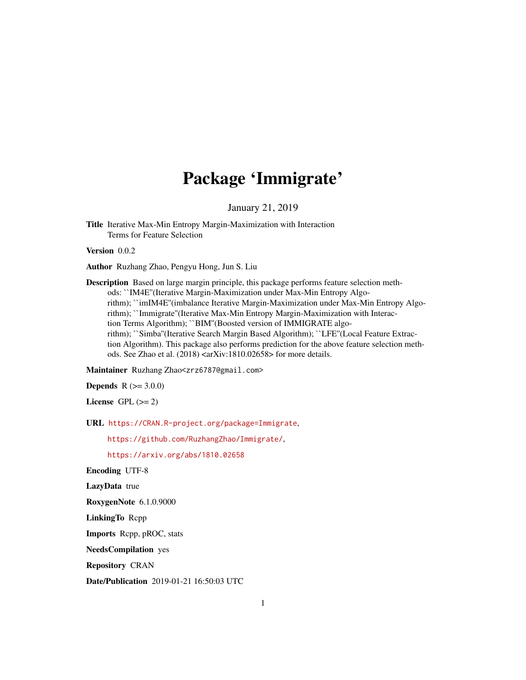# Package 'Immigrate'

January 21, 2019

Title Iterative Max-Min Entropy Margin-Maximization with Interaction Terms for Feature Selection

Version 0.0.2

Author Ruzhang Zhao, Pengyu Hong, Jun S. Liu

Description Based on large margin principle, this package performs feature selection methods: ``IM4E''(Iterative Margin-Maximization under Max-Min Entropy Algorithm); ``imIM4E''(imbalance Iterative Margin-Maximization under Max-Min Entropy Algorithm); ``Immigrate''(Iterative Max-Min Entropy Margin-Maximization with Interaction Terms Algorithm); ``BIM''(Boosted version of IMMIGRATE algorithm); ``Simba''(Iterative Search Margin Based Algorithm); ``LFE''(Local Feature Extraction Algorithm). This package also performs prediction for the above feature selection methods. See Zhao et al. (2018) <arXiv:1810.02658> for more details.

Maintainer Ruzhang Zhao<zrz6787@gmail.com>

**Depends** R  $(>= 3.0.0)$ 

License GPL  $(>= 2)$ 

URL <https://CRAN.R-project.org/package=Immigrate>,

<https://github.com/RuzhangZhao/Immigrate/>,

<https://arxiv.org/abs/1810.02658>

Encoding UTF-8

LazyData true

RoxygenNote 6.1.0.9000

LinkingTo Rcpp

Imports Rcpp, pROC, stats

NeedsCompilation yes

Repository CRAN

Date/Publication 2019-01-21 16:50:03 UTC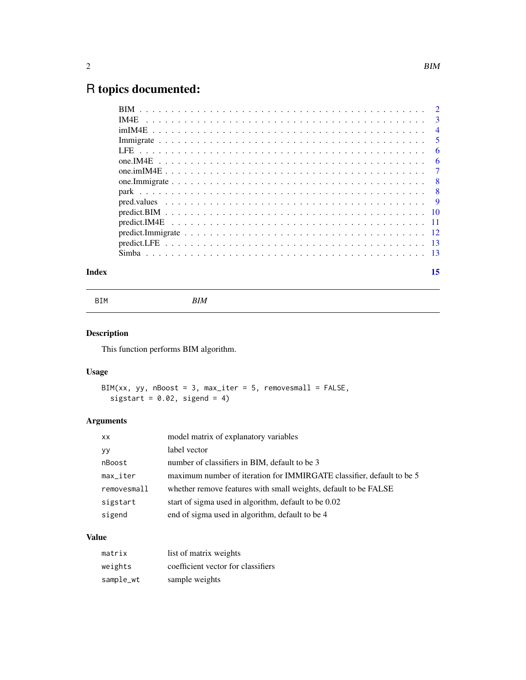## <span id="page-1-0"></span>R topics documented:

|       | -6 |
|-------|----|
|       |    |
|       |    |
|       |    |
|       |    |
|       |    |
|       |    |
|       |    |
|       |    |
|       |    |
| Index | 15 |

BIM *BIM*

#### Description

This function performs BIM algorithm.

#### Usage

```
BIM(xx, yy, nBoost = 3, max_iter = 5, removesmall = FALSE,
 sigstart = 0.02, sigend = 4)
```
#### Arguments

| <b>XX</b>              | model matrix of explanatory variables                                 |
|------------------------|-----------------------------------------------------------------------|
| уy                     | label vector                                                          |
| nBoost                 | number of classifiers in BIM, default to be 3                         |
| $max$ <sub>Liter</sub> | maximum number of iteration for IMMIRGATE classifier, default to be 5 |
| removesmall            | whether remove features with small weights, default to be FALSE       |
| sigstart               | start of sigma used in algorithm, default to be 0.02                  |
| sigend                 | end of sigma used in algorithm, default to be 4                       |

#### Value

| matrix    | list of matrix weights             |
|-----------|------------------------------------|
| weights   | coefficient vector for classifiers |
| sample_wt | sample weights                     |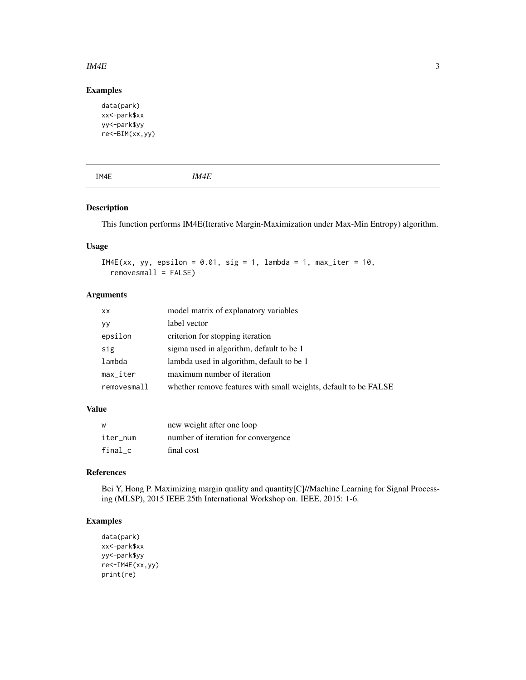#### <span id="page-2-0"></span> $\mu$  IM4E 3

#### Examples

```
data(park)
xx<-park$xx
yy<-park$yy
re<-BIM(xx,yy)
```

|--|--|--|--|--|

#### Description

This function performs IM4E(Iterative Margin-Maximization under Max-Min Entropy) algorithm.

#### Usage

```
IM4E(xx, yy, epsilon = 0.01, sig = 1, lambda = 1, max_iter = 10,
 removesmall = FALSE)
```
#### Arguments

| XX                     | model matrix of explanatory variables                           |
|------------------------|-----------------------------------------------------------------|
| <b>yy</b>              | label vector                                                    |
| epsilon                | criterion for stopping iteration                                |
| sig                    | sigma used in algorithm, default to be 1                        |
| lambda                 | lambda used in algorithm, default to be 1                       |
| $max$ <sub>Liter</sub> | maximum number of iteration                                     |
| removesmall            | whether remove features with small weights, default to be FALSE |

#### Value

| W        | new weight after one loop           |
|----------|-------------------------------------|
| iter num | number of iteration for convergence |
| final c  | final cost                          |

#### References

Bei Y, Hong P. Maximizing margin quality and quantity[C]//Machine Learning for Signal Processing (MLSP), 2015 IEEE 25th International Workshop on. IEEE, 2015: 1-6.

```
data(park)
xx<-park$xx
yy<-park$yy
re<-IM4E(xx,yy)
print(re)
```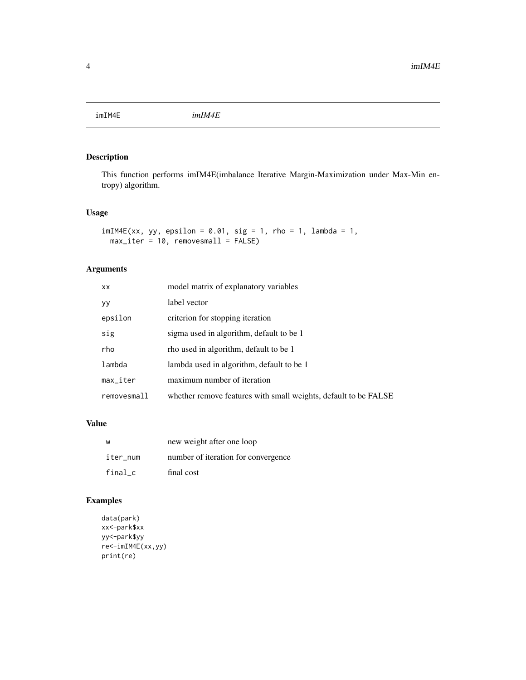<span id="page-3-0"></span>imIM4E *imIM4E*

#### Description

This function performs imIM4E(imbalance Iterative Margin-Maximization under Max-Min entropy) algorithm.

#### Usage

```
imIM4E(xx, yy, epsilon = 0.01, sig = 1, rho = 1, lambda = 1,max_iter = 10, removesmall = FALSE)
```
#### Arguments

| <b>XX</b>              | model matrix of explanatory variables                           |
|------------------------|-----------------------------------------------------------------|
| yy                     | label vector                                                    |
| epsilon                | criterion for stopping iteration                                |
| sig                    | sigma used in algorithm, default to be 1                        |
| rho                    | tho used in algorithm, default to be 1                          |
| lambda                 | lambda used in algorithm, default to be 1                       |
| $max$ <sub>Liter</sub> | maximum number of iteration                                     |
| removesmall            | whether remove features with small weights, default to be FALSE |

#### Value

| W        | new weight after one loop           |
|----------|-------------------------------------|
| iter_num | number of iteration for convergence |
| final c  | final cost                          |

```
data(park)
xx<-park$xx
yy<-park$yy
re<-imIM4E(xx,yy)
print(re)
```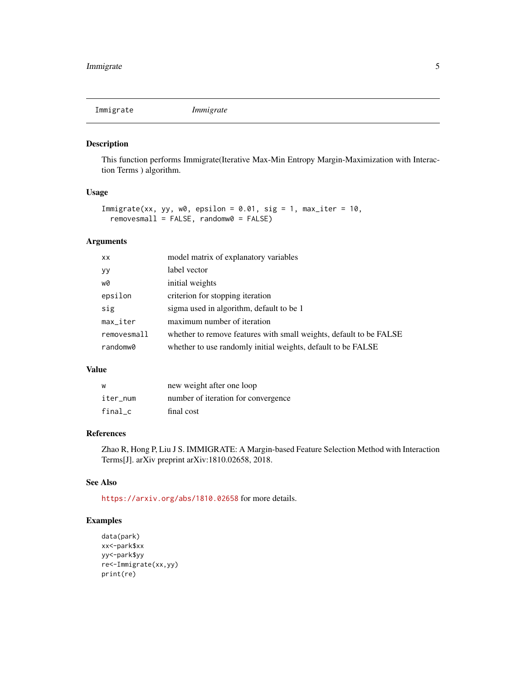<span id="page-4-0"></span>Immigrate *Immigrate*

#### Description

This function performs Immigrate(Iterative Max-Min Entropy Margin-Maximization with Interaction Terms ) algorithm.

#### Usage

```
Immigrate(xx, yy, w0, epsilon = 0.01, sig = 1, max_iter = 10,
 removesmall = FALSE, randomw0 = FALSE)
```
#### Arguments

| <b>XX</b>              | model matrix of explanatory variables                              |
|------------------------|--------------------------------------------------------------------|
| yy                     | label vector                                                       |
| w0                     | initial weights                                                    |
| epsilon                | criterion for stopping iteration                                   |
| sig                    | sigma used in algorithm, default to be 1                           |
| $max$ <sub>-iter</sub> | maximum number of iteration                                        |
| removesmall            | whether to remove features with small weights, default to be FALSE |
| randomw0               | whether to use randomly initial weights, default to be FALSE       |

#### Value

| W        | new weight after one loop           |
|----------|-------------------------------------|
| iter num | number of iteration for convergence |
| final c  | final cost                          |

#### References

Zhao R, Hong P, Liu J S. IMMIGRATE: A Margin-based Feature Selection Method with Interaction Terms[J]. arXiv preprint arXiv:1810.02658, 2018.

#### See Also

<https://arxiv.org/abs/1810.02658> for more details.

```
data(park)
xx<-park$xx
yy<-park$yy
re<-Immigrate(xx,yy)
print(re)
```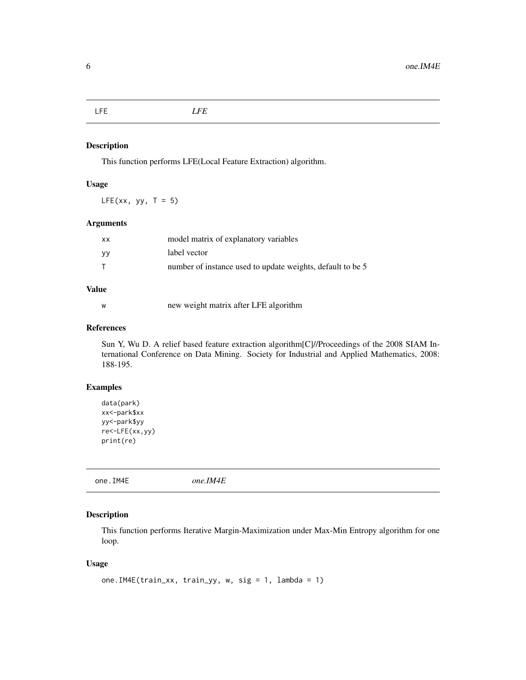<span id="page-5-0"></span>LFE *LFE*

#### Description

This function performs LFE(Local Feature Extraction) algorithm.

#### Usage

 $LFE(xx, yy, T = 5)$ 

#### Arguments

| xх | model matrix of explanatory variables                      |
|----|------------------------------------------------------------|
| ۷y | label vector                                               |
|    | number of instance used to update weights, default to be 5 |

#### Value

w new weight matrix after LFE algorithm

#### References

Sun Y, Wu D. A relief based feature extraction algorithm[C]//Proceedings of the 2008 SIAM International Conference on Data Mining. Society for Industrial and Applied Mathematics, 2008: 188-195.

#### Examples

```
data(park)
xx<-park$xx
yy<-park$yy
re<-LFE(xx,yy)
print(re)
```
one.IM4E *one.IM4E*

#### Description

This function performs Iterative Margin-Maximization under Max-Min Entropy algorithm for one loop.

#### Usage

```
one.IM4E(train_xx, train_yy, w, sig = 1, lambda = 1)
```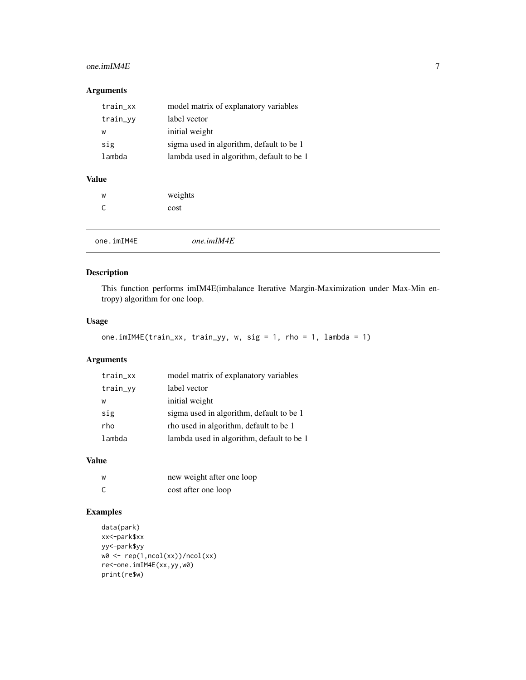#### <span id="page-6-0"></span> $one.$ imIM4E  $\overline{7}$

#### Arguments

| train_xx | model matrix of explanatory variables     |
|----------|-------------------------------------------|
| train_yy | label vector                              |
| W        | initial weight                            |
| sig      | sigma used in algorithm, default to be 1  |
| lambda   | lambda used in algorithm, default to be 1 |
|          |                                           |

#### Value

| W | weights |
|---|---------|
| С | cost    |

one.imIM4E *one.imIM4E*

#### Description

This function performs imIM4E(imbalance Iterative Margin-Maximization under Max-Min entropy) algorithm for one loop.

#### Usage

```
one.imIM4E(train_xx, train_yy, w, sig = 1, rho = 1, lambda = 1)
```
#### Arguments

| train_xx | model matrix of explanatory variables     |
|----------|-------------------------------------------|
| train_yy | label vector                              |
| W        | initial weight                            |
| sig      | sigma used in algorithm, default to be 1  |
| rho      | rho used in algorithm, default to be 1    |
| lambda   | lambda used in algorithm, default to be 1 |

#### Value

| W | new weight after one loop |
|---|---------------------------|
| C | cost after one loop       |

```
data(park)
xx<-park$xx
yy<-park$yy
w0 <- rep(1,ncol(xx))/ncol(xx)
re<-one.imIM4E(xx,yy,w0)
print(re$w)
```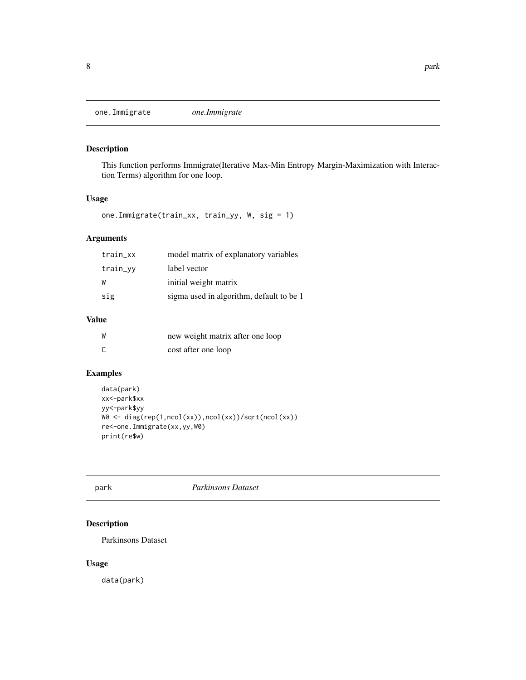<span id="page-7-0"></span>one.Immigrate *one.Immigrate*

#### Description

This function performs Immigrate(Iterative Max-Min Entropy Margin-Maximization with Interaction Terms) algorithm for one loop.

#### Usage

one.Immigrate(train\_xx, train\_yy, W, sig = 1)

#### Arguments

| train_xx | model matrix of explanatory variables    |
|----------|------------------------------------------|
| train_yy | label vector                             |
| W        | initial weight matrix                    |
| sig      | sigma used in algorithm, default to be 1 |

#### Value

| W | new weight matrix after one loop |
|---|----------------------------------|
| C | cost after one loop              |

#### Examples

```
data(park)
xx<-park$xx
yy<-park$yy
W0 <- diag(rep(1,ncol(xx)),ncol(xx))/sqrt(ncol(xx))
re<-one.Immigrate(xx,yy,W0)
print(re$w)
```
#### park *Parkinsons Dataset*

#### Description

Parkinsons Dataset

#### Usage

data(park)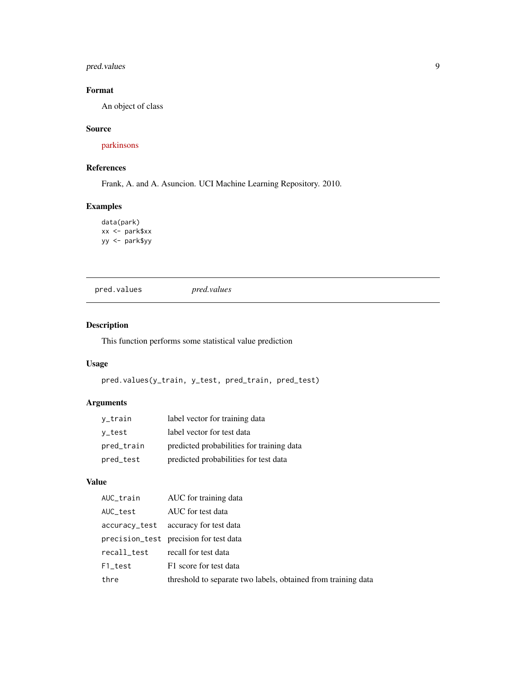#### <span id="page-8-0"></span>pred.values 9

#### Format

An object of class

#### Source

[parkinsons](https://archive.ics.uci.edu/ml/datasets/parkinsons)

#### References

Frank, A. and A. Asuncion. UCI Machine Learning Repository. 2010.

#### Examples

```
data(park)
xx <- park$xx
yy <- park$yy
```
pred.values *pred.values*

#### Description

This function performs some statistical value prediction

#### Usage

```
pred.values(y_train, y_test, pred_train, pred_test)
```
### Arguments

| v_train    | label vector for training data            |
|------------|-------------------------------------------|
| v_test     | label vector for test data                |
| pred_train | predicted probabilities for training data |
| pred_test  | predicted probabilities for test data     |

#### Value

| AUC_train     | AUC for training data                                         |
|---------------|---------------------------------------------------------------|
| AUC_test      | AUC for test data                                             |
| accuracy_test | accuracy for test data                                        |
|               | precision_test precision for test data                        |
| recall_test   | recall for test data                                          |
| F1_test       | F1 score for test data                                        |
| thre          | threshold to separate two labels, obtained from training data |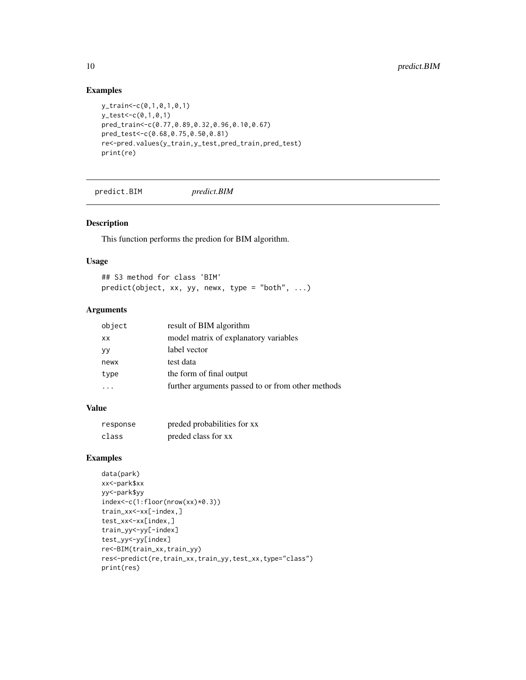#### Examples

```
y_train<-c(0,1,0,1,0,1)
y_test<-c(0,1,0,1)
pred_train<-c(0.77,0.89,0.32,0.96,0.10,0.67)
pred_test<-c(0.68,0.75,0.50,0.81)
re<-pred.values(y_train,y_test,pred_train,pred_test)
print(re)
```
predict.BIM *predict.BIM*

#### Description

This function performs the predion for BIM algorithm.

#### Usage

## S3 method for class 'BIM' predict(object, xx, yy, newx, type = "both", ...)

#### Arguments

| object    | result of BIM algorithm                           |
|-----------|---------------------------------------------------|
| <b>XX</b> | model matrix of explanatory variables             |
| yy        | label vector                                      |
| newx      | test data                                         |
| type      | the form of final output                          |
|           | further arguments passed to or from other methods |
|           |                                                   |

#### Value

| response | preded probabilities for xx |
|----------|-----------------------------|
| class    | preded class for xx         |

```
data(park)
xx<-park$xx
yy<-park$yy
index<-c(1:floor(nrow(xx)*0.3))
train_xx<-xx[-index,]
test_xx<-xx[index,]
train_yy<-yy[-index]
test_yy<-yy[index]
re<-BIM(train_xx,train_yy)
res<-predict(re,train_xx,train_yy,test_xx,type="class")
print(res)
```
<span id="page-9-0"></span>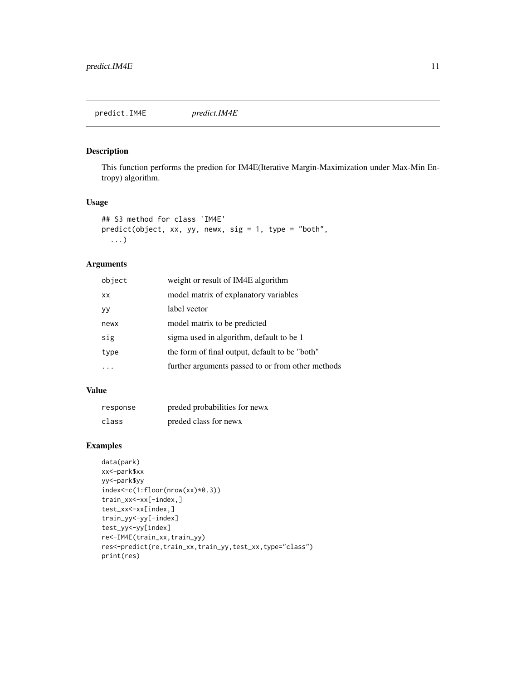#### <span id="page-10-0"></span>Description

This function performs the predion for IM4E(Iterative Margin-Maximization under Max-Min Entropy) algorithm.

#### Usage

```
## S3 method for class 'IM4E'
predict(object, xx, yy, newx, sig = 1, type = "both",
  ...)
```
#### Arguments

| object    | weight or result of IM4E algorithm                |
|-----------|---------------------------------------------------|
| <b>XX</b> | model matrix of explanatory variables             |
| yу        | label vector                                      |
| newx      | model matrix to be predicted                      |
| sig       | sigma used in algorithm, default to be 1          |
| type      | the form of final output, default to be "both"    |
|           | further arguments passed to or from other methods |

#### Value

| response | preded probabilities for news |
|----------|-------------------------------|
| class    | preded class for news         |

```
data(park)
xx<-park$xx
yy<-park$yy
index<-c(1:floor(nrow(xx)*0.3))
train_xx<-xx[-index,]
test_xx<-xx[index,]
train_yy<-yy[-index]
test_yy<-yy[index]
re<-IM4E(train_xx,train_yy)
res<-predict(re,train_xx,train_yy,test_xx,type="class")
print(res)
```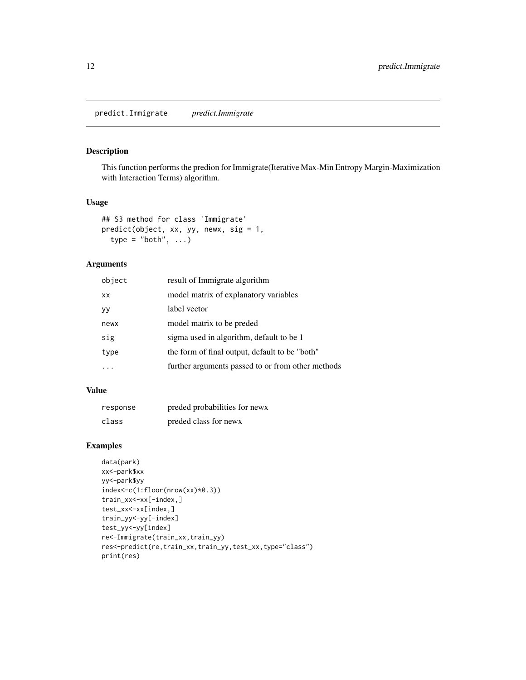#### <span id="page-11-0"></span>Description

This function performs the predion for Immigrate(Iterative Max-Min Entropy Margin-Maximization with Interaction Terms) algorithm.

#### Usage

```
## S3 method for class 'Immigrate'
predict(object, xx, yy, newx, sig = 1,
  type = "both", \dots)
```
#### Arguments

| object    | result of Immigrate algorithm                     |
|-----------|---------------------------------------------------|
| <b>XX</b> | model matrix of explanatory variables             |
| <b>yy</b> | label vector                                      |
| newx      | model matrix to be preded                         |
| sig       | sigma used in algorithm, default to be 1          |
| type      | the form of final output, default to be "both"    |
|           | further arguments passed to or from other methods |

#### Value

| response | preded probabilities for news |
|----------|-------------------------------|
| class    | preded class for news         |

```
data(park)
xx<-park$xx
yy<-park$yy
index<-c(1:floor(nrow(xx)*0.3))
train_xx<-xx[-index,]
test_xx<-xx[index,]
train_yy<-yy[-index]
test_yy<-yy[index]
re<-Immigrate(train_xx,train_yy)
res<-predict(re,train_xx,train_yy,test_xx,type="class")
print(res)
```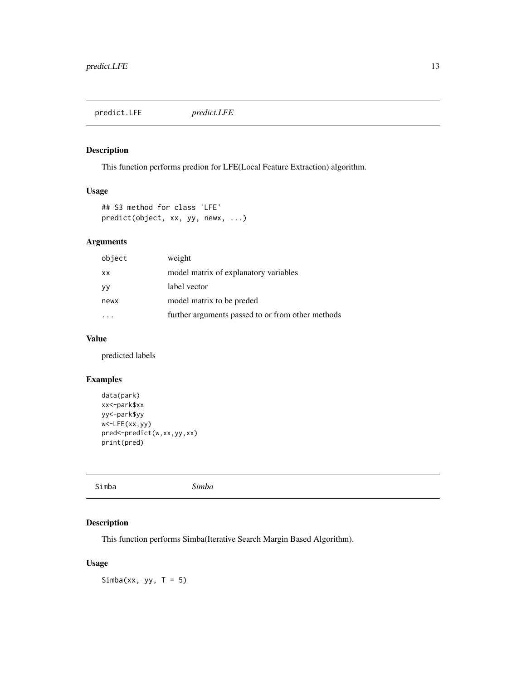<span id="page-12-0"></span>predict.LFE *predict.LFE*

#### Description

This function performs predion for LFE(Local Feature Extraction) algorithm.

#### Usage

## S3 method for class 'LFE' predict(object, xx, yy, newx, ...)

#### Arguments

| object    | weight                                            |
|-----------|---------------------------------------------------|
| <b>XX</b> | model matrix of explanatory variables             |
| УY        | label vector                                      |
| newx      | model matrix to be preded                         |
|           | further arguments passed to or from other methods |

#### Value

predicted labels

#### Examples

```
data(park)
xx<-park$xx
yy<-park$yy
w<-LFE(xx,yy)
pred<-predict(w,xx,yy,xx)
print(pred)
```

|  | Simba | Simba |  |  |
|--|-------|-------|--|--|
|--|-------|-------|--|--|

#### Description

This function performs Simba(Iterative Search Margin Based Algorithm).

#### Usage

Simba(xx, yy,  $T = 5$ )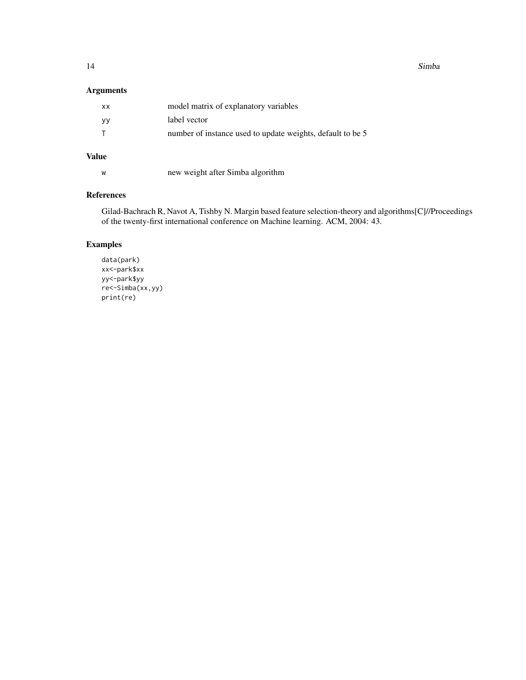14 Simba

#### Arguments

| <b>Value</b> |                                                            |
|--------------|------------------------------------------------------------|
| т            | number of instance used to update weights, default to be 5 |
| уy           | label vector                                               |
| XX.          | model matrix of explanatory variables                      |

### w new weight after Simba algorithm

#### References

Gilad-Bachrach R, Navot A, Tishby N. Margin based feature selection-theory and algorithms[C]//Proceedings of the twenty-first international conference on Machine learning. ACM, 2004: 43.

```
data(park)
xx<-park$xx
yy<-park$yy
re<-Simba(xx,yy)
print(re)
```